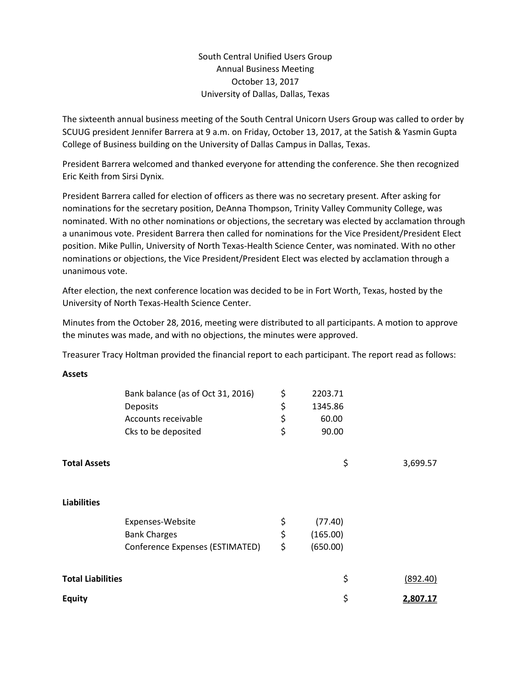South Central Unified Users Group Annual Business Meeting October 13, 2017 University of Dallas, Dallas, Texas

The sixteenth annual business meeting of the South Central Unicorn Users Group was called to order by SCUUG president Jennifer Barrera at 9 a.m. on Friday, October 13, 2017, at the Satish & Yasmin Gupta College of Business building on the University of Dallas Campus in Dallas, Texas.

President Barrera welcomed and thanked everyone for attending the conference. She then recognized Eric Keith from Sirsi Dynix.

President Barrera called for election of officers as there was no secretary present. After asking for nominations for the secretary position, DeAnna Thompson, Trinity Valley Community College, was nominated. With no other nominations or objections, the secretary was elected by acclamation through a unanimous vote. President Barrera then called for nominations for the Vice President/President Elect position. Mike Pullin, University of North Texas-Health Science Center, was nominated. With no other nominations or objections, the Vice President/President Elect was elected by acclamation through a unanimous vote.

After election, the next conference location was decided to be in Fort Worth, Texas, hosted by the University of North Texas-Health Science Center.

Minutes from the October 28, 2016, meeting were distributed to all participants. A motion to approve the minutes was made, and with no objections, the minutes were approved.

Treasurer Tracy Holtman provided the financial report to each participant. The report read as follows:

| w<br>۰.<br>۹<br>٧<br>۰, |  |
|-------------------------|--|
|-------------------------|--|

|                          | Bank balance (as of Oct 31, 2016) | \$<br>2203.71  |          |
|--------------------------|-----------------------------------|----------------|----------|
|                          | Deposits                          | \$<br>1345.86  |          |
|                          | Accounts receivable               | \$<br>60.00    |          |
|                          | Cks to be deposited               | \$<br>90.00    |          |
|                          |                                   |                |          |
| <b>Total Assets</b>      |                                   | \$             | 3,699.57 |
|                          |                                   |                |          |
| <b>Liabilities</b>       |                                   |                |          |
|                          | Expenses-Website                  | \$<br>(77.40)  |          |
|                          | <b>Bank Charges</b>               | \$<br>(165.00) |          |
|                          | Conference Expenses (ESTIMATED)   | \$<br>(650.00) |          |
|                          |                                   |                |          |
| <b>Total Liabilities</b> |                                   | \$             | (892.40) |
| <b>Equity</b>            |                                   | \$             | 2,807.17 |